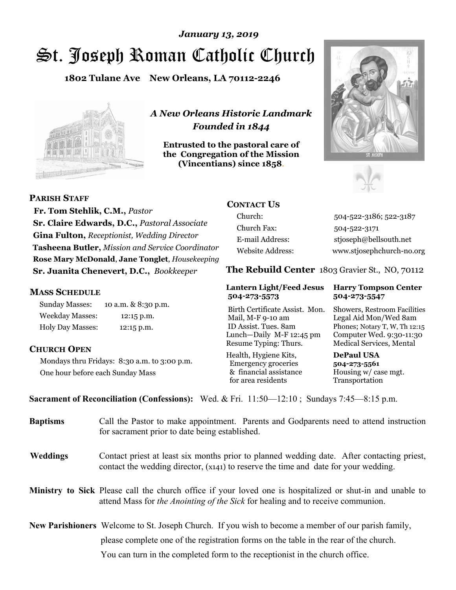# St. Joseph Roman Catholic Church *January 13, 2019*

**1802 Tulane Ave New Orleans, LA 70112-2246**



*A New Orleans Historic Landmark Founded in 1844* 

**Entrusted to the pastoral care of the Congregation of the Mission (Vincentians) since 1858**.





 **Fr. Tom Stehlik, C.M.,** *Pastor* **Sr. Claire Edwards, D.C.,** *Pastoral Associate* 

**Gina Fulton,** *Receptionist, Wedding Director* **Tasheena Butler,** *Mission and Service Coordinator* **Rose Mary McDonald**, **Jane Tonglet**, *Housekeeping* **Sr. Juanita Chenevert, D.C.,** *Bookkeeper* 

### **MASS SCHEDULE**

**PARISH STAFF**

Sunday Masses: 10 a.m. & 8:30 p.m. Weekday Masses: 12:15 p.m. Holy Day Masses: 12:15 p.m.

### **CHURCH OPEN**

Mondays thru Fridays: 8:30 a.m. to 3:00 p.m. One hour before each Sunday Mass

# **CONTACT US**

Church: 504-522-3186; 522-3187 Church Fax: 504-522-3171 E-mail Address: stjoseph@bellsouth.net Website Address: www.stjosephchurch-no.org

**The Rebuild Center** 1803 Gravier St., NO, 70112

#### **Lantern Light/Feed Jesus Harry Tompson Center 504-273-5573 504-273-5547**

Birth Certificate Assist. Mon. Showers, Restroom Facilities Mail, M-F 9-10 am Legal Aid Mon/Wed 8am ID Assist. Tues. 8am Phones; Notary T, W, Th 12:15 Lunch—Daily M-F 12:45 pm Computer Wed. 9:30-11:30 Resume Typing: Thurs. Medical Services, Mental

Health, Hygiene Kits, **DePaul USA**  Emergency groceries **504-273-5561** & financial assistance Housing w/ case mgt.<br>for area residents Transportation for area residents

**Sacrament of Reconciliation (Confessions):** Wed. & Fri. 11:50—12:10 ; Sundays 7:45—8:15 p.m.

| <b>Baptisms</b> | Call the Pastor to make appointment. Parents and Godparents need to attend instruction<br>for sacrament prior to date being established.                                                            |  |
|-----------------|-----------------------------------------------------------------------------------------------------------------------------------------------------------------------------------------------------|--|
| <b>Weddings</b> | Contact priest at least six months prior to planned wedding date. After contacting priest,<br>contact the wedding director, (x141) to reserve the time and date for your wedding.                   |  |
|                 | <b>Ministry to Sick</b> Please call the church office if your loved one is hospitalized or shut-in and unable to<br>attend Mass for the Anointing of the Sick for healing and to receive communion. |  |
|                 | <b>New Parishioners</b> Welcome to St. Joseph Church. If you wish to become a member of our parish family,                                                                                          |  |
|                 | please complete one of the registration forms on the table in the rear of the church.                                                                                                               |  |
|                 | You can turn in the completed form to the reception is the church office.                                                                                                                           |  |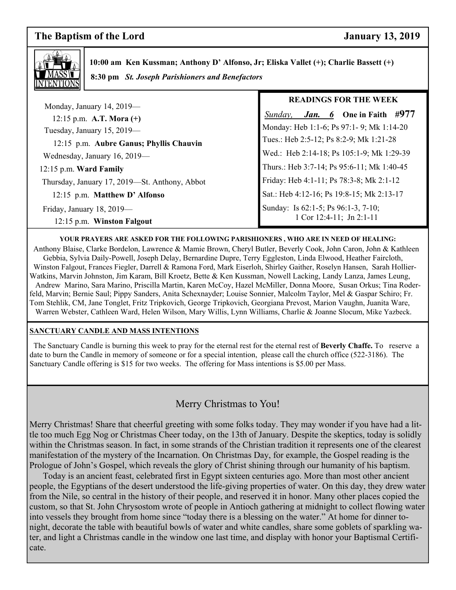# **The Baptism of the Lord January 13, 2019**



 **10:00 am Ken Kussman; Anthony D' Alfonso, Jr; Eliska Vallet (+); Charlie Bassett (+) 8:30 pm** *St. Joseph Parishioners and Benefactors*

|                                               | <b>READINGS FOR THE WEEK</b>               |
|-----------------------------------------------|--------------------------------------------|
| Monday, January 14, 2019-                     |                                            |
| 12:15 p.m. A.T. Mora $(+)$                    | One in Faith #977<br>Sunday,<br>Jan. 6     |
| Tuesday, January 15, 2019—                    | Monday: Heb 1:1-6; Ps 97:1-9; Mk 1:14-20   |
| 12:15 p.m. Aubre Ganus; Phyllis Chauvin       | Tues.: Heb 2:5-12; Ps 8:2-9; Mk 1:21-28    |
| Wednesday, January 16, 2019-                  | Wed.: Heb 2:14-18; Ps 105:1-9; Mk 1:29-39  |
| $12:15$ p.m. Ward Family                      | Thurs.: Heb 3:7-14; Ps 95:6-11; Mk 1:40-45 |
| Thursday, January 17, 2019—St. Anthony, Abbot | Friday: Heb 4:1-11; Ps 78:3-8; Mk 2:1-12   |
| 12:15 p.m. Matthew D' Alfonso                 | Sat.: Heb 4:12-16; Ps 19:8-15; Mk 2:13-17  |
| Friday, January 18, 2019-                     | Sunday: Is 62:1-5; Ps 96:1-3, 7-10;        |
| 12:15 p.m. Winston Falgout                    | $1$ Cor $12:4-11$ ; Jn $2:1-11$            |

#### **YOUR PRAYERS ARE ASKED FOR THE FOLLOWING PARISHIONERS , WHO ARE IN NEED OF HEALING:**

 Anthony Blaise, Clarke Bordelon, Lawrence & Mamie Brown, Cheryl Butler, Beverly Cook, John Caron, John & Kathleen Gebbia, Sylvia Daily-Powell, Joseph Delay, Bernardine Dupre, Terry Eggleston, Linda Elwood, Heather Faircloth, Winston Falgout, Frances Fiegler, Darrell & Ramona Ford, Mark Eiserloh, Shirley Gaither, Roselyn Hansen, Sarah Hollier-Watkins, Marvin Johnston, Jim Karam, Bill Kroetz, Bette & Ken Kussman, Nowell Lacking, Landy Lanza, James Leung, Andrew Marino, Sara Marino, Priscilla Martin, Karen McCoy, Hazel McMiller, Donna Moore, Susan Orkus; Tina Roderfeld, Marvin; Bernie Saul; Pippy Sanders, Anita Schexnayder; Louise Sonnier, Malcolm Taylor, Mel & Gaspar Schiro; Fr. Tom Stehlik, CM, Jane Tonglet, Fritz Tripkovich, George Tripkovich, Georgiana Prevost, Marion Vaughn, Juanita Ware, Warren Webster, Cathleen Ward, Helen Wilson, Mary Willis, Lynn Williams, Charlie & Joanne Slocum, Mike Yazbeck.

#### **SANCTUARY CANDLE AND MASS INTENTIONS**

 The Sanctuary Candle is burning this week to pray for the eternal rest for the eternal rest of **Beverly Chaffe.** To reserve a date to burn the Candle in memory of someone or for a special intention, please call the church office (522-3186). The Sanctuary Candle offering is \$15 for two weeks. The offering for Mass intentions is \$5.00 per Mass.

# Merry Christmas to You!

Merry Christmas! Share that cheerful greeting with some folks today. They may wonder if you have had a little too much Egg Nog or Christmas Cheer today, on the 13th of January. Despite the skeptics, today is solidly within the Christmas season. In fact, in some strands of the Christian tradition it represents one of the clearest manifestation of the mystery of the Incarnation. On Christmas Day, for example, the Gospel reading is the Prologue of John's Gospel, which reveals the glory of Christ shining through our humanity of his baptism.

 Today is an ancient feast, celebrated first in Egypt sixteen centuries ago. More than most other ancient people, the Egyptians of the desert understood the life‑giving properties of water. On this day, they drew water from the Nile, so central in the history of their people, and reserved it in honor. Many other places copied the custom, so that St. John Chrysostom wrote of people in Antioch gathering at midnight to collect flowing water into vessels they brought from home since "today there is a blessing on the water." At home for dinner tonight, decorate the table with beautiful bowls of water and white candles, share some goblets of sparkling water, and light a Christmas candle in the window one last time, and display with honor your Baptismal Certificate.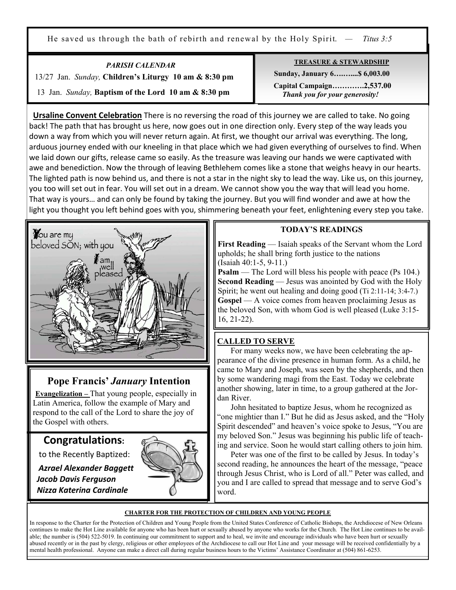He saved us through the bath of rebirth and renewal by the Holy Spirit. *— Titus 3:5*

*PARISH CALENDAR*  13/27 Jan. *Sunday,* **Children's Liturgy 10 am & 8:30 pm** 13 Jan. *Sunday,* **Baptism of the Lord 10 am & 8:30 pm**

Ξ

**TREASURE & STEWARDSHIP**

 **Sunday, January 6….…....\$ 6,003.00 Capital Campaign………….2,537.00** *Thank you for your generosity!* 

**Ursaline Convent Celebration** There is no reversing the road of this journey we are called to take. No going back! The path that has brought us here, now goes out in one direction only. Every step of the way leads you down a way from which you will never return again. At first, we thought our arrival was everything. The long, arduous journey ended with our kneeling in that place which we had given everything of ourselves to find. When we laid down our gifts, release came so easily. As the treasure was leaving our hands we were captivated with awe and benediction. Now the through of leaving Bethlehem comes like a stone that weighs heavy in our hearts. The lighted path is now behind us, and there is not a star in the night sky to lead the way. Like us, on this journey, you too will set out in fear. You will set out in a dream. We cannot show you the way that will lead you home. That way is yours… and can only be found by taking the journey. But you will find wonder and awe at how the light you thought you left behind goes with you, shimmering beneath your feet, enlightening every step you take.



# **Pope Francis'** *January* **Intention**

**Evangelization –** That young people, especially in Latin America, follow the example of Mary and respond to the call of the Lord to share the joy of the Gospel with others.

# **Congratulations:**

to the Recently Baptized:

 *Azrael Alexander Baggett Jacob Davis Ferguson Nizza Katerina Cardinale* 



### **TODAY'S READINGS**

**First Reading** — Isaiah speaks of the Servant whom the Lord upholds; he shall bring forth justice to the nations (Isaiah 40:1-5, 9-11.)

**Psalm** — The Lord will bless his people with peace (Ps 104.) **Second Reading** — Jesus was anointed by God with the Holy Spirit; he went out healing and doing good (Ti 2:11-14; 3:4-7.) **Gospel** — A voice comes from heaven proclaiming Jesus as the beloved Son, with whom God is well pleased (Luke 3:15- 16, 21-22).

# **CALLED TO SERVE**

 For many weeks now, we have been celebrating the appearance of the divine presence in human form. As a child, he came to Mary and Joseph, was seen by the shepherds, and then by some wandering magi from the East. Today we celebrate another showing, later in time, to a group gathered at the Jordan River.

 John hesitated to baptize Jesus, whom he recognized as "one mightier than I." But he did as Jesus asked, and the "Holy Spirit descended" and heaven's voice spoke to Jesus, "You are my beloved Son." Jesus was beginning his public life of teaching and service. Soon he would start calling others to join him.

 Peter was one of the first to be called by Jesus. In today's second reading, he announces the heart of the message, "peace through Jesus Christ, who is Lord of all." Peter was called, and you and I are called to spread that message and to serve God's word.

#### **CHARTER FOR THE PROTECTION OF CHILDREN AND YOUNG PEOPLE**

In response to the Charter for the Protection of Children and Young People from the United States Conference of Catholic Bishops, the Archdiocese of New Orleans continues to make the Hot Line available for anyone who has been hurt or sexually abused by anyone who works for the Church. The Hot Line continues to be available; the number is (504) 522-5019. In continuing our commitment to support and to heal, we invite and encourage individuals who have been hurt or sexually abused recently or in the past by clergy, religious or other employees of the Archdiocese to call our Hot Line and your message will be received confidentially by a mental health professional. Anyone can make a direct call during regular business hours to the Victims' Assistance Coordinator at (504) 861-6253.